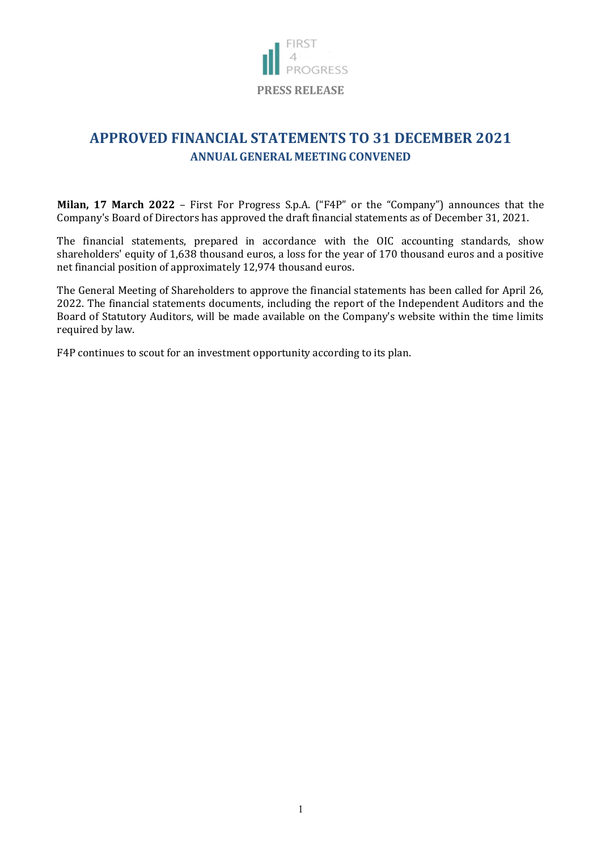

## **APPROVED FINANCIAL STATEMENTS TO 31 DECEMBER 2021 ANNUAL GENERAL MEETING CONVENED**

**Milan, 17 March 2022** – First For Progress S.p.A. ("F4P" or the "Company") announces that the Company's Board of Directors has approved the draft financial statements as of December 31, 2021.

The financial statements, prepared in accordance with the OIC accounting standards, show shareholders' equity of 1,638 thousand euros, a loss for the year of 170 thousand euros and a positive net financial position of approximately 12,974 thousand euros.

The General Meeting of Shareholders to approve the financial statements has been called for April 26, 2022. The financial statements documents, including the report of the Independent Auditors and the Board of Statutory Auditors, will be made available on the Company's website within the time limits required by law.

F4P continues to scout for an investment opportunity according to its plan.